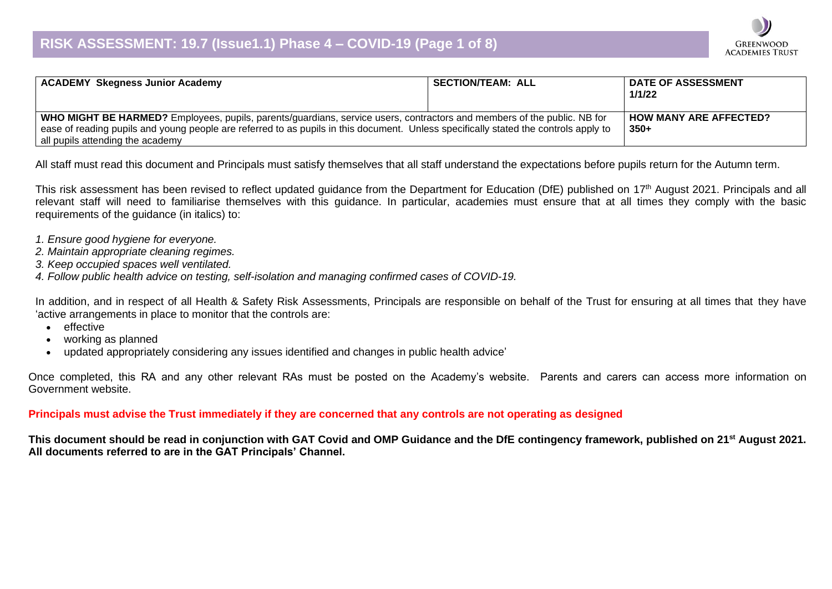

| <b>ACADEMY Skegness Junior Academy</b>                                                                                               | <b>SECTION/TEAM: ALL</b> | <b>DATE OF ASSESSMENT</b><br>1/1/22 |
|--------------------------------------------------------------------------------------------------------------------------------------|--------------------------|-------------------------------------|
| WHO MIGHT BE HARMED? Employees, pupils, parents/guardians, service users, contractors and members of the public. NB for              |                          | <b>HOW MANY ARE AFFECTED?</b>       |
| ease of reading pupils and young people are referred to as pupils in this document. Unless specifically stated the controls apply to |                          | $350+$                              |
| all pupils attending the academy                                                                                                     |                          |                                     |

All staff must read this document and Principals must satisfy themselves that all staff understand the expectations before pupils return for the Autumn term.

This risk assessment has been revised to reflect updated guidance from the Department for Education (DfE) published on 17<sup>th</sup> August 2021. Principals and all relevant staff will need to familiarise themselves with this guidance. In particular, academies must ensure that at all times they comply with the basic requirements of the guidance (in italics) to:

- *1. Ensure good hygiene for everyone.*
- *2. Maintain appropriate cleaning regimes.*
- *3. Keep occupied spaces well ventilated.*
- *4. Follow public health advice on testing, self-isolation and managing confirmed cases of COVID-19.*

In addition, and in respect of all Health & Safety Risk Assessments, Principals are responsible on behalf of the Trust for ensuring at all times that they have 'active arrangements in place to monitor that the controls are:

- effective
- working as planned
- updated appropriately considering any issues identified and changes in public health advice'

Once completed, this RA and any other relevant RAs must be posted on the Academy's website. Parents and carers can access more information on Government website.

**Principals must advise the Trust immediately if they are concerned that any controls are not operating as designed**

**This document should be read in conjunction with GAT Covid and OMP Guidance and the DfE contingency framework, published on 21st August 2021. All documents referred to are in the GAT Principals' Channel.**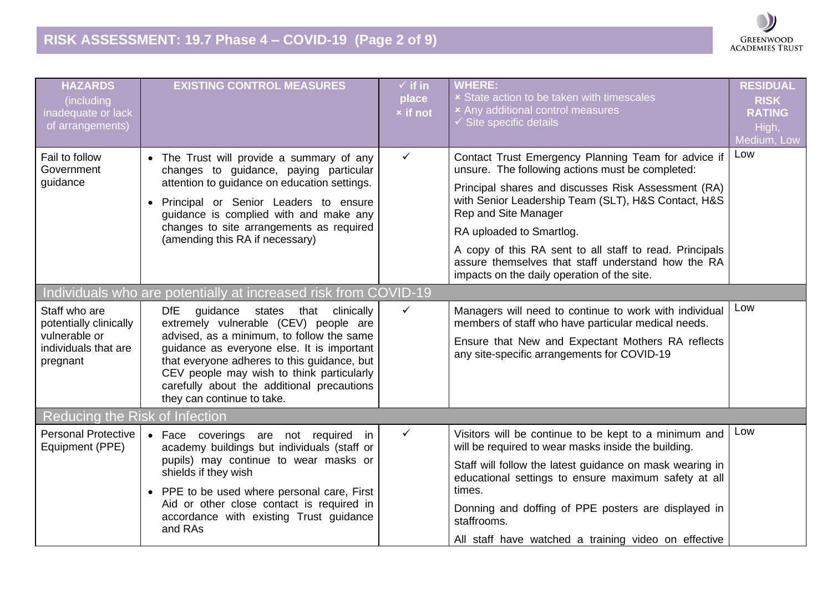

| <b>HAZARDS</b><br>(including<br>inadequate or lack<br>of arrangements)                       | <b>EXISTING CONTROL MEASURES</b>                                                                                                                                                                                                                                                                                                                             | $\checkmark$ if in<br>place<br><b>x</b> if not | <b>WHERE:</b><br><b>x</b> State action to be taken with timescales<br>× Any additional control measures<br>$\checkmark$ Site specific details                                                                                                                                                                                                                                                                                             | <b>RESIDUAL</b><br><b>RISK</b><br><b>RATING</b><br>High,<br>Medium, Low |
|----------------------------------------------------------------------------------------------|--------------------------------------------------------------------------------------------------------------------------------------------------------------------------------------------------------------------------------------------------------------------------------------------------------------------------------------------------------------|------------------------------------------------|-------------------------------------------------------------------------------------------------------------------------------------------------------------------------------------------------------------------------------------------------------------------------------------------------------------------------------------------------------------------------------------------------------------------------------------------|-------------------------------------------------------------------------|
| Fail to follow<br>Government<br>guidance                                                     | • The Trust will provide a summary of any<br>changes to guidance, paying particular<br>attention to guidance on education settings.<br>· Principal or Senior Leaders to ensure<br>guidance is complied with and make any<br>changes to site arrangements as required<br>(amending this RA if necessary)                                                      | $\checkmark$                                   | Contact Trust Emergency Planning Team for advice if<br>unsure. The following actions must be completed:<br>Principal shares and discusses Risk Assessment (RA)<br>with Senior Leadership Team (SLT), H&S Contact, H&S<br>Rep and Site Manager<br>RA uploaded to Smartlog.<br>A copy of this RA sent to all staff to read. Principals<br>assure themselves that staff understand how the RA<br>impacts on the daily operation of the site. | Low                                                                     |
|                                                                                              | Individuals who are potentially at increased risk from COVID-19                                                                                                                                                                                                                                                                                              |                                                |                                                                                                                                                                                                                                                                                                                                                                                                                                           |                                                                         |
| Staff who are<br>potentially clinically<br>vulnerable or<br>individuals that are<br>pregnant | <b>DfE</b><br>guidance<br>states that clinically<br>extremely vulnerable (CEV) people are<br>advised, as a minimum, to follow the same<br>guidance as everyone else. It is important<br>that everyone adheres to this guidance, but<br>CEV people may wish to think particularly<br>carefully about the additional precautions<br>they can continue to take. | $\checkmark$                                   | Managers will need to continue to work with individual<br>members of staff who have particular medical needs.<br>Ensure that New and Expectant Mothers RA reflects<br>any site-specific arrangements for COVID-19                                                                                                                                                                                                                         | Low                                                                     |
| Reducing the Risk of Infection                                                               |                                                                                                                                                                                                                                                                                                                                                              |                                                |                                                                                                                                                                                                                                                                                                                                                                                                                                           |                                                                         |
| <b>Personal Protective</b><br>Equipment (PPE)                                                | • Face coverings are not required in<br>academy buildings but individuals (staff or<br>pupils) may continue to wear masks or<br>shields if they wish<br>• PPE to be used where personal care, First<br>Aid or other close contact is required in<br>accordance with existing Trust guidance<br>and RAs                                                       | $\checkmark$                                   | Visitors will be continue to be kept to a minimum and<br>will be required to wear masks inside the building.<br>Staff will follow the latest guidance on mask wearing in<br>educational settings to ensure maximum safety at all<br>times.<br>Donning and doffing of PPE posters are displayed in<br>staffrooms.<br>All staff have watched a training video on effective                                                                  | Low                                                                     |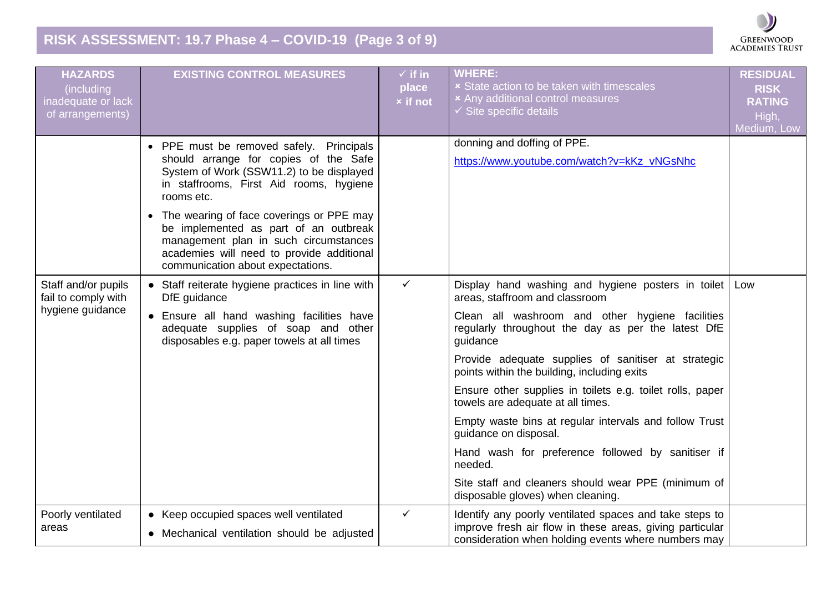## **RISK ASSESSMENT: 19.7 Phase 4 – COVID-19 (Page 3 of 9)**



| <b>HAZARDS</b><br>(including<br>inadequate or lack<br>of arrangements) | <b>EXISTING CONTROL MEASURES</b>                                                                                                                                                                                          | $\sqrt{ }$ if in<br>place<br><b>x</b> if not | <b>WHERE:</b><br><b>x</b> State action to be taken with timescales<br><b>*</b> Any additional control measures<br>$\checkmark$ Site specific details                       | <b>RESIDUAL</b><br><b>RISK</b><br><b>RATING</b><br>High,<br>Medium, Low |
|------------------------------------------------------------------------|---------------------------------------------------------------------------------------------------------------------------------------------------------------------------------------------------------------------------|----------------------------------------------|----------------------------------------------------------------------------------------------------------------------------------------------------------------------------|-------------------------------------------------------------------------|
|                                                                        | • PPE must be removed safely. Principals<br>should arrange for copies of the Safe<br>System of Work (SSW11.2) to be displayed<br>in staffrooms, First Aid rooms, hygiene<br>rooms etc.                                    |                                              | donning and doffing of PPE.<br>https://www.youtube.com/watch?v=kKz vNGsNhc                                                                                                 |                                                                         |
|                                                                        | The wearing of face coverings or PPE may<br>$\bullet$<br>be implemented as part of an outbreak<br>management plan in such circumstances<br>academies will need to provide additional<br>communication about expectations. |                                              |                                                                                                                                                                            |                                                                         |
| Staff and/or pupils<br>fail to comply with                             | • Staff reiterate hygiene practices in line with<br>DfE guidance                                                                                                                                                          | $\checkmark$                                 | Display hand washing and hygiene posters in toilet<br>areas, staffroom and classroom                                                                                       | Low                                                                     |
| hygiene guidance                                                       | • Ensure all hand washing facilities have<br>adequate supplies of soap and other<br>disposables e.g. paper towels at all times                                                                                            |                                              | Clean all washroom and other hygiene facilities<br>regularly throughout the day as per the latest DfE<br>guidance                                                          |                                                                         |
|                                                                        |                                                                                                                                                                                                                           |                                              | Provide adequate supplies of sanitiser at strategic<br>points within the building, including exits                                                                         |                                                                         |
|                                                                        |                                                                                                                                                                                                                           |                                              | Ensure other supplies in toilets e.g. toilet rolls, paper<br>towels are adequate at all times.                                                                             |                                                                         |
|                                                                        |                                                                                                                                                                                                                           |                                              | Empty waste bins at regular intervals and follow Trust<br>guidance on disposal.                                                                                            |                                                                         |
|                                                                        |                                                                                                                                                                                                                           |                                              | Hand wash for preference followed by sanitiser if<br>needed.                                                                                                               |                                                                         |
|                                                                        |                                                                                                                                                                                                                           |                                              | Site staff and cleaners should wear PPE (minimum of<br>disposable gloves) when cleaning.                                                                                   |                                                                         |
| Poorly ventilated<br>areas                                             | • Keep occupied spaces well ventilated<br>• Mechanical ventilation should be adjusted                                                                                                                                     | $\checkmark$                                 | Identify any poorly ventilated spaces and take steps to<br>improve fresh air flow in these areas, giving particular<br>consideration when holding events where numbers may |                                                                         |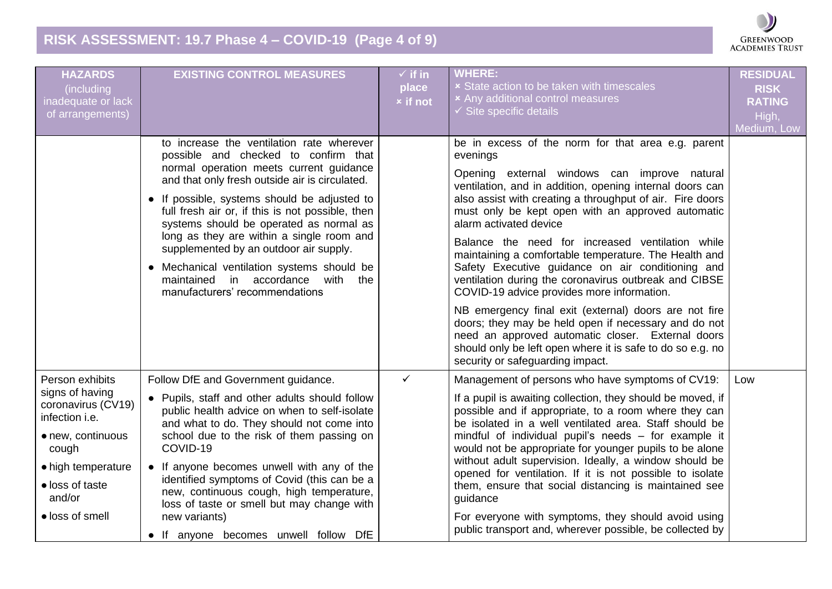# **RISK ASSESSMENT: 19.7 Phase 4 – COVID-19 (Page 4 of 9)**



| to increase the ventilation rate wherever<br>be in excess of the norm for that area e.g. parent<br>possible and checked to confirm that<br>evenings<br>normal operation meets current guidance<br>Opening external windows can improve natural<br>and that only fresh outside air is circulated.<br>ventilation, and in addition, opening internal doors can<br>also assist with creating a throughput of air. Fire doors<br>• If possible, systems should be adjusted to<br>full fresh air or, if this is not possible, then<br>must only be kept open with an approved automatic<br>systems should be operated as normal as<br>alarm activated device<br>long as they are within a single room and<br>Balance the need for increased ventilation while<br>supplemented by an outdoor air supply.<br>maintaining a comfortable temperature. The Health and<br>Safety Executive guidance on air conditioning and<br>• Mechanical ventilation systems should be<br>maintained in accordance<br>with<br>ventilation during the coronavirus outbreak and CIBSE<br>the<br>manufacturers' recommendations<br>COVID-19 advice provides more information.<br>NB emergency final exit (external) doors are not fire<br>doors; they may be held open if necessary and do not<br>need an approved automatic closer. External doors<br>should only be left open where it is safe to do so e.g. no<br>security or safeguarding impact.<br>$\checkmark$<br>Person exhibits<br>Follow DfE and Government guidance.<br>Management of persons who have symptoms of CV19:<br>signs of having<br>• Pupils, staff and other adults should follow<br>If a pupil is awaiting collection, they should be moved, if<br>coronavirus (CV19) | <b>HAZARDS</b><br>(including<br>inadequate or lack<br>of arrangements) | <b>EXISTING CONTROL MEASURES</b>             | $\sqrt{ }$ if in<br>place<br><b>x</b> if not | <b>WHERE:</b><br><b>× State action to be taken with timescales</b><br>× Any additional control measures<br>$\checkmark$ Site specific details | <b>RESIDUAL</b><br><b>RISK</b><br><b>RATING</b><br>High,<br>Medium, Low |
|--------------------------------------------------------------------------------------------------------------------------------------------------------------------------------------------------------------------------------------------------------------------------------------------------------------------------------------------------------------------------------------------------------------------------------------------------------------------------------------------------------------------------------------------------------------------------------------------------------------------------------------------------------------------------------------------------------------------------------------------------------------------------------------------------------------------------------------------------------------------------------------------------------------------------------------------------------------------------------------------------------------------------------------------------------------------------------------------------------------------------------------------------------------------------------------------------------------------------------------------------------------------------------------------------------------------------------------------------------------------------------------------------------------------------------------------------------------------------------------------------------------------------------------------------------------------------------------------------------------------------------------------------------------------------------------------------------------------|------------------------------------------------------------------------|----------------------------------------------|----------------------------------------------|-----------------------------------------------------------------------------------------------------------------------------------------------|-------------------------------------------------------------------------|
|                                                                                                                                                                                                                                                                                                                                                                                                                                                                                                                                                                                                                                                                                                                                                                                                                                                                                                                                                                                                                                                                                                                                                                                                                                                                                                                                                                                                                                                                                                                                                                                                                                                                                                                    |                                                                        |                                              |                                              |                                                                                                                                               |                                                                         |
|                                                                                                                                                                                                                                                                                                                                                                                                                                                                                                                                                                                                                                                                                                                                                                                                                                                                                                                                                                                                                                                                                                                                                                                                                                                                                                                                                                                                                                                                                                                                                                                                                                                                                                                    |                                                                        |                                              |                                              |                                                                                                                                               |                                                                         |
| infection <i>i.e.</i><br>and what to do. They should not come into<br>be isolated in a well ventilated area. Staff should be<br>school due to the risk of them passing on<br>mindful of individual pupil's needs - for example it<br>• new, continuous<br>COVID-19<br>would not be appropriate for younger pupils to be alone<br>cough<br>without adult supervision. Ideally, a window should be<br>• If anyone becomes unwell with any of the<br>• high temperature<br>opened for ventilation. If it is not possible to isolate<br>identified symptoms of Covid (this can be a<br>• loss of taste<br>them, ensure that social distancing is maintained see<br>new, continuous cough, high temperature,<br>and/or<br>guidance<br>loss of taste or smell but may change with<br>· loss of smell<br>new variants)<br>For everyone with symptoms, they should avoid using<br>public transport and, wherever possible, be collected by<br>• If anyone becomes unwell follow DfE                                                                                                                                                                                                                                                                                                                                                                                                                                                                                                                                                                                                                                                                                                                                        |                                                                        | public health advice on when to self-isolate |                                              | possible and if appropriate, to a room where they can                                                                                         | Low                                                                     |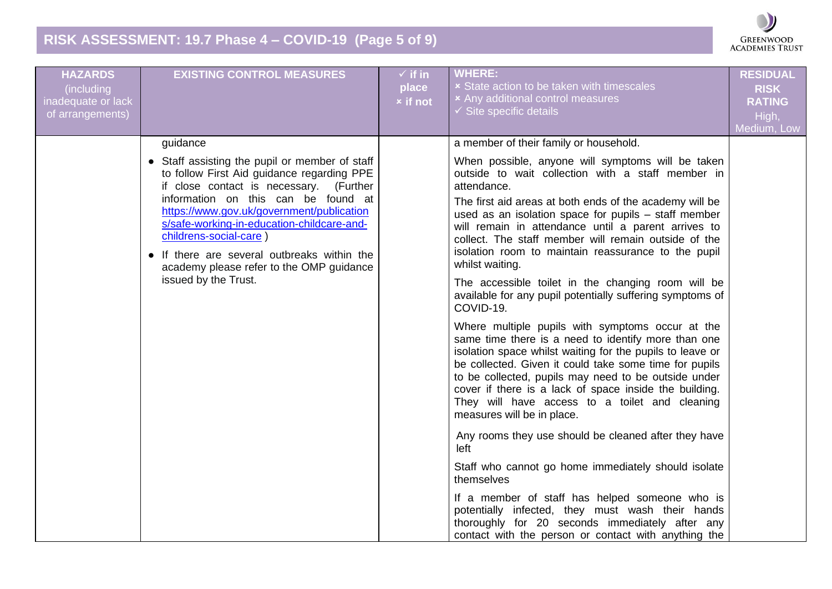## **RISK ASSESSMENT: 19.7 Phase 4 – COVID-19 (Page 5 of 9)**



| <b>HAZARDS</b><br>(including<br>inadequate or lack<br>of arrangements) | <b>EXISTING CONTROL MEASURES</b>                                                                                                                                                                                                                                                                                                                                                                                                   | $\checkmark$ if in<br>place<br><b>x</b> if not | <b>WHERE:</b><br><b>× State action to be taken with timescales</b><br><b>*</b> Any additional control measures<br>$\checkmark$ Site specific details                                                                                                                                                                                                                                                                                                                                                                                                                                                                                                                                                                                                                                                                                                                                                                                                                                                                                                                                                                                                                                                                                                                                                                                                                                                  | <b>RESIDUAL</b><br><b>RISK</b><br><b>RATING</b><br>High,<br>Medium, Low |
|------------------------------------------------------------------------|------------------------------------------------------------------------------------------------------------------------------------------------------------------------------------------------------------------------------------------------------------------------------------------------------------------------------------------------------------------------------------------------------------------------------------|------------------------------------------------|-------------------------------------------------------------------------------------------------------------------------------------------------------------------------------------------------------------------------------------------------------------------------------------------------------------------------------------------------------------------------------------------------------------------------------------------------------------------------------------------------------------------------------------------------------------------------------------------------------------------------------------------------------------------------------------------------------------------------------------------------------------------------------------------------------------------------------------------------------------------------------------------------------------------------------------------------------------------------------------------------------------------------------------------------------------------------------------------------------------------------------------------------------------------------------------------------------------------------------------------------------------------------------------------------------------------------------------------------------------------------------------------------------|-------------------------------------------------------------------------|
|                                                                        | guidance<br>• Staff assisting the pupil or member of staff<br>to follow First Aid guidance regarding PPE<br>if close contact is necessary. (Further<br>information on this can be found at<br>https://www.gov.uk/government/publication<br>s/safe-working-in-education-childcare-and-<br>childrens-social-care)<br>• If there are several outbreaks within the<br>academy please refer to the OMP guidance<br>issued by the Trust. |                                                | a member of their family or household.<br>When possible, anyone will symptoms will be taken<br>outside to wait collection with a staff member in<br>attendance.<br>The first aid areas at both ends of the academy will be<br>used as an isolation space for pupils - staff member<br>will remain in attendance until a parent arrives to<br>collect. The staff member will remain outside of the<br>isolation room to maintain reassurance to the pupil<br>whilst waiting.<br>The accessible toilet in the changing room will be<br>available for any pupil potentially suffering symptoms of<br>COVID-19.<br>Where multiple pupils with symptoms occur at the<br>same time there is a need to identify more than one<br>isolation space whilst waiting for the pupils to leave or<br>be collected. Given it could take some time for pupils<br>to be collected, pupils may need to be outside under<br>cover if there is a lack of space inside the building.<br>They will have access to a toilet and cleaning<br>measures will be in place.<br>Any rooms they use should be cleaned after they have<br>left<br>Staff who cannot go home immediately should isolate<br>themselves<br>If a member of staff has helped someone who is<br>potentially infected, they must wash their hands<br>thoroughly for 20 seconds immediately after any<br>contact with the person or contact with anything the |                                                                         |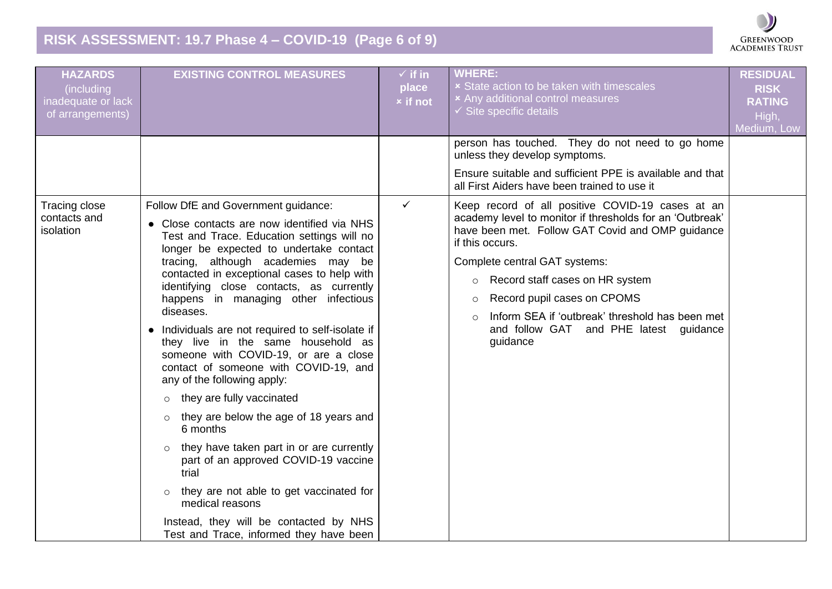## **RISK ASSESSMENT: 19.7 Phase 4 – COVID-19 (Page 6 of 9)**



| <b>HAZARDS</b><br>(including<br>inadequate or lack<br>of arrangements) | <b>EXISTING CONTROL MEASURES</b>                                                                                                                                                                                                                                                                                                                                                                                                                                                                                                                                                                                                                                                                                                                                                                                                                                                                                                                             | $\checkmark$ if in<br>place<br><b>x</b> if not | <b>WHERE:</b><br><b>x</b> State action to be taken with timescales<br><b>*</b> Any additional control measures<br>$\checkmark$ Site specific details                                                                                                                                                                                                                                                                             | <b>RESIDUAL</b><br><b>RISK</b><br><b>RATING</b><br>High,<br>Medium, Low |
|------------------------------------------------------------------------|--------------------------------------------------------------------------------------------------------------------------------------------------------------------------------------------------------------------------------------------------------------------------------------------------------------------------------------------------------------------------------------------------------------------------------------------------------------------------------------------------------------------------------------------------------------------------------------------------------------------------------------------------------------------------------------------------------------------------------------------------------------------------------------------------------------------------------------------------------------------------------------------------------------------------------------------------------------|------------------------------------------------|----------------------------------------------------------------------------------------------------------------------------------------------------------------------------------------------------------------------------------------------------------------------------------------------------------------------------------------------------------------------------------------------------------------------------------|-------------------------------------------------------------------------|
|                                                                        |                                                                                                                                                                                                                                                                                                                                                                                                                                                                                                                                                                                                                                                                                                                                                                                                                                                                                                                                                              |                                                | person has touched. They do not need to go home<br>unless they develop symptoms.<br>Ensure suitable and sufficient PPE is available and that<br>all First Aiders have been trained to use it                                                                                                                                                                                                                                     |                                                                         |
| <b>Tracing close</b><br>contacts and<br>isolation                      | Follow DfE and Government guidance:<br>• Close contacts are now identified via NHS<br>Test and Trace. Education settings will no<br>longer be expected to undertake contact<br>tracing, although academies may be<br>contacted in exceptional cases to help with<br>identifying close contacts, as currently<br>happens in managing other infectious<br>diseases.<br>• Individuals are not required to self-isolate if<br>they live in the same household as<br>someone with COVID-19, or are a close<br>contact of someone with COVID-19, and<br>any of the following apply:<br>they are fully vaccinated<br>$\circ$<br>they are below the age of 18 years and<br>$\circ$<br>6 months<br>they have taken part in or are currently<br>$\circ$<br>part of an approved COVID-19 vaccine<br>trial<br>they are not able to get vaccinated for<br>$\circ$<br>medical reasons<br>Instead, they will be contacted by NHS<br>Test and Trace, informed they have been | $\checkmark$                                   | Keep record of all positive COVID-19 cases at an<br>academy level to monitor if thresholds for an 'Outbreak'<br>have been met. Follow GAT Covid and OMP guidance<br>if this occurs.<br>Complete central GAT systems:<br>Record staff cases on HR system<br>$\circ$<br>Record pupil cases on CPOMS<br>$\circ$<br>Inform SEA if 'outbreak' threshold has been met<br>$\circ$<br>and follow GAT and PHE latest guidance<br>guidance |                                                                         |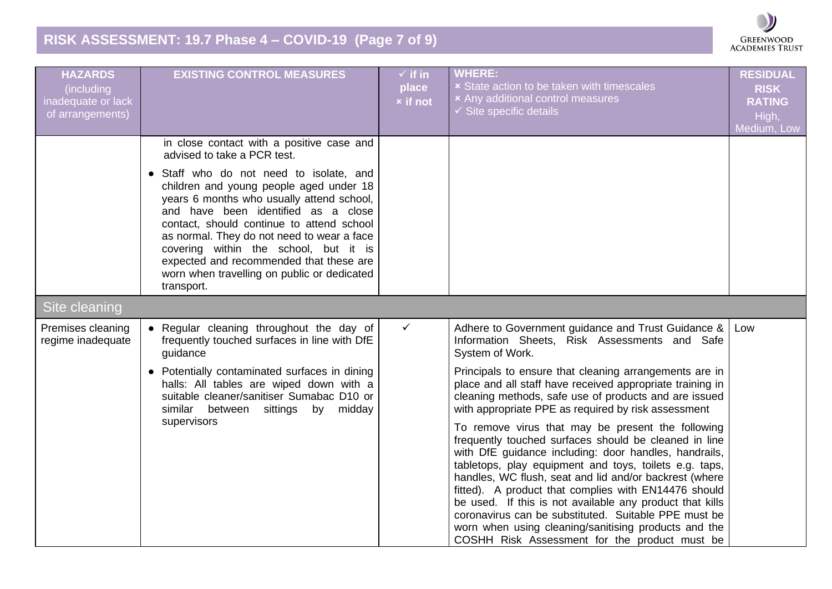## **RISK ASSESSMENT: 19.7 Phase 4 – COVID-19 (Page 7 of 9)**

| <b>HAZARDS</b><br>(including<br>inadequate or lack<br>of arrangements) | <b>EXISTING CONTROL MEASURES</b>                                                                                                                                                                                                                                                                                                                                                                                   | $\checkmark$ if in<br>place<br><b>x</b> if not | <b>WHERE:</b><br><b>x</b> State action to be taken with timescales<br><b>*</b> Any additional control measures<br>$\checkmark$ Site specific details                                                                                                                                                                                                                                                                                                                                                                                                                         | <b>RESIDUAL</b><br><b>RISK</b><br><b>RATING</b><br>High,<br>Medium, Low |
|------------------------------------------------------------------------|--------------------------------------------------------------------------------------------------------------------------------------------------------------------------------------------------------------------------------------------------------------------------------------------------------------------------------------------------------------------------------------------------------------------|------------------------------------------------|------------------------------------------------------------------------------------------------------------------------------------------------------------------------------------------------------------------------------------------------------------------------------------------------------------------------------------------------------------------------------------------------------------------------------------------------------------------------------------------------------------------------------------------------------------------------------|-------------------------------------------------------------------------|
|                                                                        | in close contact with a positive case and<br>advised to take a PCR test.                                                                                                                                                                                                                                                                                                                                           |                                                |                                                                                                                                                                                                                                                                                                                                                                                                                                                                                                                                                                              |                                                                         |
|                                                                        | • Staff who do not need to isolate, and<br>children and young people aged under 18<br>years 6 months who usually attend school,<br>and have been identified as a close<br>contact, should continue to attend school<br>as normal. They do not need to wear a face<br>covering within the school, but it is<br>expected and recommended that these are<br>worn when travelling on public or dedicated<br>transport. |                                                |                                                                                                                                                                                                                                                                                                                                                                                                                                                                                                                                                                              |                                                                         |
| <b>Site cleaning</b>                                                   |                                                                                                                                                                                                                                                                                                                                                                                                                    |                                                |                                                                                                                                                                                                                                                                                                                                                                                                                                                                                                                                                                              |                                                                         |
| Premises cleaning<br>regime inadequate                                 | • Regular cleaning throughout the day of<br>frequently touched surfaces in line with DfE<br>guidance                                                                                                                                                                                                                                                                                                               | $\checkmark$                                   | Adhere to Government guidance and Trust Guidance &<br>Information Sheets, Risk Assessments and Safe<br>System of Work.                                                                                                                                                                                                                                                                                                                                                                                                                                                       | Low                                                                     |
|                                                                        | • Potentially contaminated surfaces in dining<br>halls: All tables are wiped down with a<br>suitable cleaner/sanitiser Sumabac D10 or<br>similar between sittings by<br>midday                                                                                                                                                                                                                                     |                                                | Principals to ensure that cleaning arrangements are in<br>place and all staff have received appropriate training in<br>cleaning methods, safe use of products and are issued<br>with appropriate PPE as required by risk assessment                                                                                                                                                                                                                                                                                                                                          |                                                                         |
|                                                                        | supervisors                                                                                                                                                                                                                                                                                                                                                                                                        |                                                | To remove virus that may be present the following<br>frequently touched surfaces should be cleaned in line<br>with DfE guidance including: door handles, handrails,<br>tabletops, play equipment and toys, toilets e.g. taps,<br>handles, WC flush, seat and lid and/or backrest (where<br>fitted). A product that complies with EN14476 should<br>be used. If this is not available any product that kills<br>coronavirus can be substituted. Suitable PPE must be<br>worn when using cleaning/sanitising products and the<br>COSHH Risk Assessment for the product must be |                                                                         |

GREENWOOD<br>ACADEMIES TRUST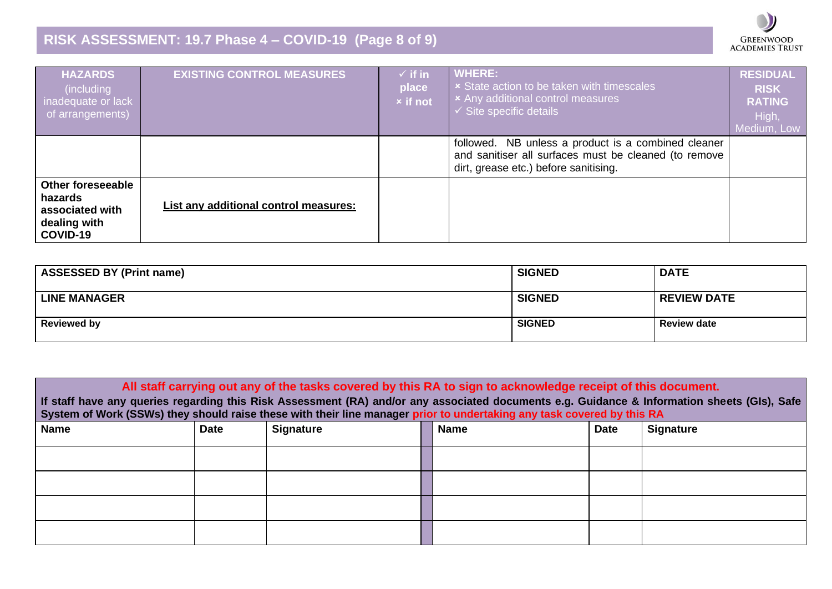## **RISK ASSESSMENT: 19.7 Phase 4 – COVID-19 (Page 8 of 9)**

| <b>HAZARDS</b><br>(including<br>inadequate or lack<br>of arrangements)      | <b>EXISTING CONTROL MEASURES</b>      | $\checkmark$ if in<br>place<br><b>x</b> if not | <b>WHERE:</b><br><b>x</b> State action to be taken with timescales<br><b>x</b> Any additional control measures<br>$\checkmark$ Site specific details     | <b>RESIDUAL</b><br><b>RISK</b><br><b>RATING</b><br>High,<br>Medium, Low |
|-----------------------------------------------------------------------------|---------------------------------------|------------------------------------------------|----------------------------------------------------------------------------------------------------------------------------------------------------------|-------------------------------------------------------------------------|
|                                                                             |                                       |                                                | NB unless a product is a combined cleaner<br>followed.<br>and sanitiser all surfaces must be cleaned (to remove<br>dirt, grease etc.) before sanitising. |                                                                         |
| Other foreseeable<br>hazards<br>associated with<br>dealing with<br>COVID-19 | List any additional control measures: |                                                |                                                                                                                                                          |                                                                         |

 $\blacksquare$ 

GREENWOOD<br>ACADEMIES TRUST

| <b>ASSESSED BY (Print name)</b> | <b>SIGNED</b> | <b>DATE</b>        |
|---------------------------------|---------------|--------------------|
| <b>LINE MANAGER</b>             | <b>SIGNED</b> | <b>REVIEW DATE</b> |
| <b>Reviewed by</b>              | <b>SIGNED</b> | <b>Review date</b> |

| All staff carrying out any of the tasks covered by this RA to sign to acknowledge receipt of this document.<br>If staff have any queries regarding this Risk Assessment (RA) and/or any associated documents e.g. Guidance & Information sheets (GIs), Safe<br>System of Work (SSWs) they should raise these with their line manager prior to undertaking any task covered by this RA |             |                  |             |             |                  |  |
|---------------------------------------------------------------------------------------------------------------------------------------------------------------------------------------------------------------------------------------------------------------------------------------------------------------------------------------------------------------------------------------|-------------|------------------|-------------|-------------|------------------|--|
| <b>Name</b>                                                                                                                                                                                                                                                                                                                                                                           | <b>Date</b> | <b>Signature</b> | <b>Name</b> | <b>Date</b> | <b>Signature</b> |  |
|                                                                                                                                                                                                                                                                                                                                                                                       |             |                  |             |             |                  |  |
|                                                                                                                                                                                                                                                                                                                                                                                       |             |                  |             |             |                  |  |
|                                                                                                                                                                                                                                                                                                                                                                                       |             |                  |             |             |                  |  |
|                                                                                                                                                                                                                                                                                                                                                                                       |             |                  |             |             |                  |  |